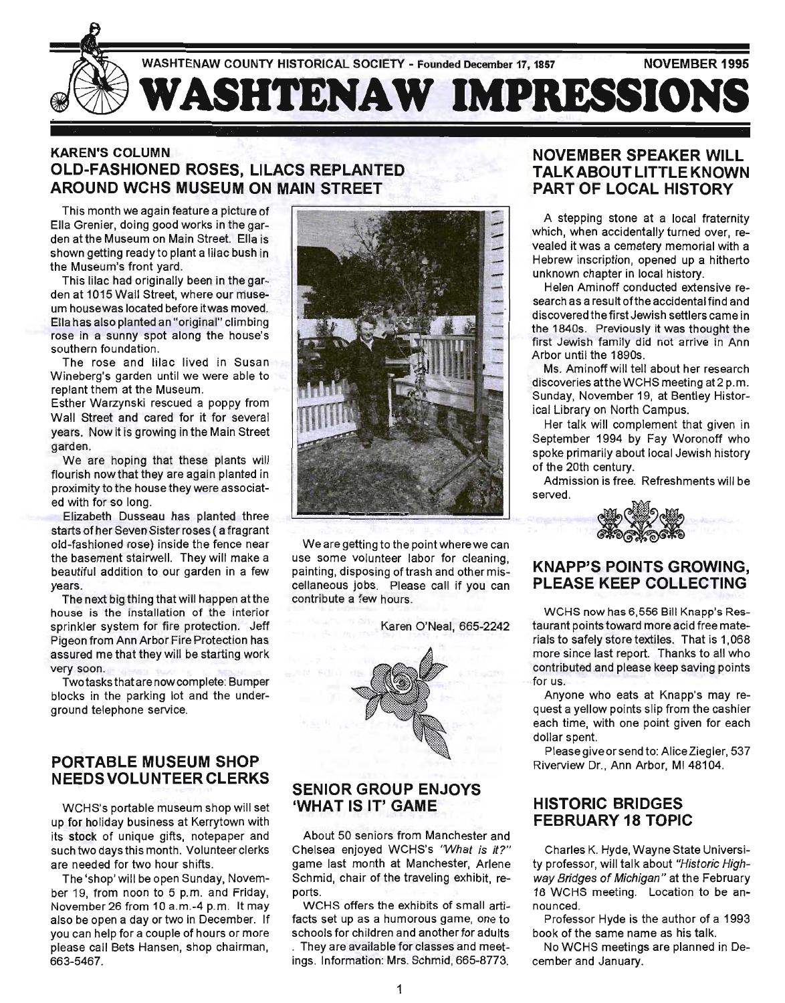

## **KAREN'S COLUMN OLD-FASHIONED ROSES, LILACS REPLANTED AROUND WCHS MUSEUM ON MAIN STREET**

This month we again feature a picture of Ella Grenier, doing good works in the garden atthe Museum on Main Street. Ella is shown getting ready to plant a lilac bush in the Museum's front yard.

This lilac had originally been in the garden at 1015 Wall Street, where our museum house was located before itwas moved. Ella has also planted an "original" climbing rose in a sunny spot along the house's southern foundation.

The rose and lilac lived in Susan Wineberg's garden until we were able to replant them at the Museum.

Esther Warzynski rescued a poppy from Wall Street and cared for it for several years. Now it is growing in the Main Street garden.

We are hoping that these plants will flourish now that they are again planted in proximity to the house they were associated with for so long.

Elizabeth Dusseau has planted three starts of her Seven Sister roses ( a fragrant old-fashioned rose) inside the fence near the basement stairwell. They will make a beautiful addition to our garden in a few years.

The next big thing that will happen atthe house is the installation of the interior sprinkler system for fire protection. Jeff Pigeon from Ann Arbor Fire Protection has assured me that they will be starting work very soon.

Two tasks that are now complete: Bumper blocks in the parking lot and the underground telephone service.

## **PORTABLE MUSEUM SHOP**  NEEDS VOLUNTEER CLERKS

WCHS's portable museum shop will set up for holiday business at Kerrytown with its stock of unique gifts, notepaper and such two days this month. Volunteer clerks are needed for two hour shifts.

The 'shop' will be open Sunday, November 19, from noon to 5 p.m. and Friday, November 26 from 10 a.m.-4 p.m. It may also be open a day or two in December. If you can help for a couple of hours or more please call Bets Hansen, shop chairman, 663-5467.



We are getting to the point wherewe can use some volunteer labor for cleaning, painting, disposing of trash and other miscellaneous jobs. Please call if you can contribute a few hours.

Karen O'Neal, 665-2242



## **SENIOR GROUP ENJOYS 'WHAT IS IT' GAME**

About 50 seniors from Manchester and Chelsea enjoyed WCHS's "What is it?" game last month at Manchester, Arlene Schmid, chair of the traveling exhibit, reports.

WCHS offers the exhibits of small artifacts set up as a humorous game, one to schools for children and another for adults

. They are available for classes and meetings. Information: Mrs. Schmid, 665-8773.

## **NOVEMBER SPEAKER WILL TALKABOUT LITTLE KNOWN PART OF LOCAL HISTORY**

A stepping stone at a local fraternity which, when accidentally turned over, revealed it was a cemetery memorial with a Hebrew inscription, opened up a hitherto unknown chapter in local history.

Helen Aminoff conducted extensive research as a result of the accidental find and discovered the first Jewish settlers came in the 1840s. Previously it was thought the first Jewish family did not arrive in Ann Arbor until the 1890s.

Ms. Aminoff will tell about her research discoveries atthe WCHS meeting at2 p.m. Sunday, November 19, at Bentley Historical Library on North Campus.

Her talk will complement that given in September 1994 by Fay Woronoff who spoke primarily about local Jewish history of the 20th century.

Admission is free. Refreshments will be pred.<br>
and a compact of the state of the state of the state of the state of the state of the state of the state of the state of the state of the state of the state of the state of th served.



#### **KNAPP'S POINTS GROWING, PLEASE KEEP COLLECTING**

WCHS now has 6,556 Bill Knapp's Restaurant points toward more acid free materials to safely store textiles. That is 1,068 more since last report. Thanks to all who contributed and please keep saving points for us.

Anyone who eats at Knapp's may request a yellow points slip from the cashier each time, with one point given for each dollar spent.

Please give or send to: Alice Ziegler, 537 Riverview Dr., Ann Arbor, MI 48104.

#### **HISTORIC BRIDGES FEBRUARY 18 TOPIC**

Charles K. Hyde, Wayne State University professor, will talk about "Historic Highway Bridges of Michigan" at the February 18 WCHS meeting. Location to be announced.

Professor Hyde is the author of a 1993 book of the same name as his talk.

No WCHS meetings are planned in December and January.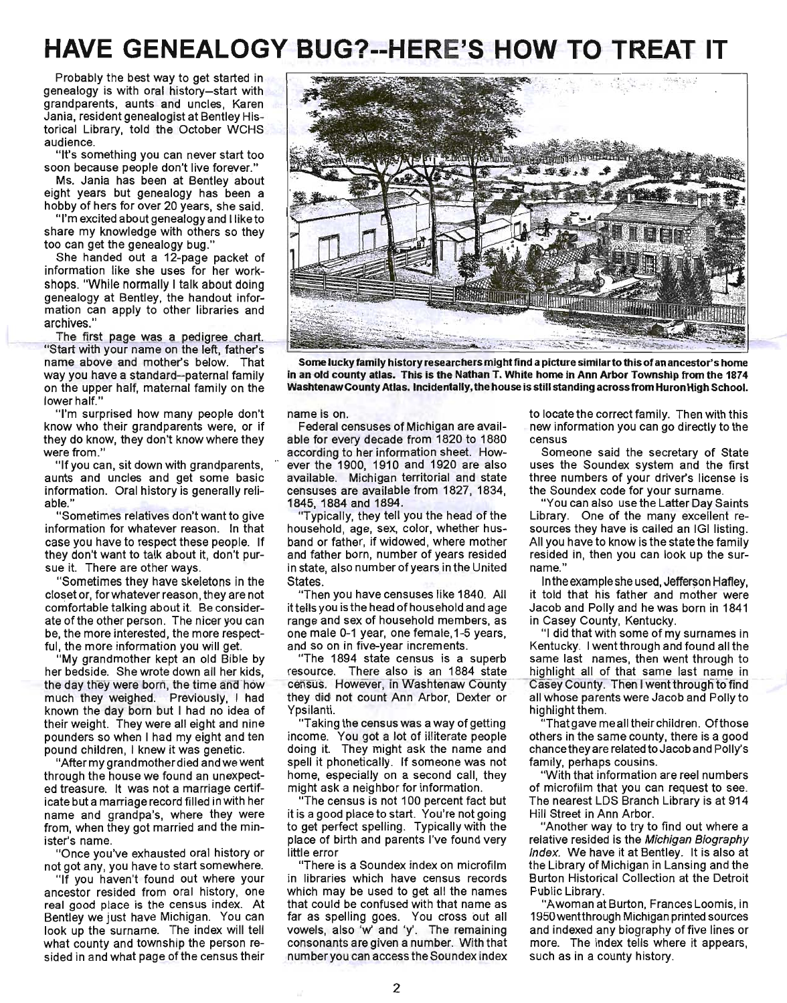# **HAVE GENEALOGY BUG?--HERE'S HOW TO TREAT IT**

Probably the best way to get started in genealogy is with oral history-start with grandparents, aunts and uncles, Karen Jania, resident genealogist at Bentley Historical Library, told the October WCHS audience.

"It's something you can never start too soon because people don't live forever."

Ms. Jania has been at Bentley about eight years but genealogy has been a hobby of hers for over 20 years, she said.

"I'm excited about genealogy and I like to share my knowledge with others so they too can get the genealogy bug."

She handed out a 12-page packet of information like she uses for her workshops. "While normally I talk about doing genealogy at Bentley, the handout information can apply to other libraries and archives."

name above and mother's below. That way you have a standard-paternal family on the upper half, maternal family on the lower half."

"I'm surprised how many people don't know who their grandparents were, or if they do know, they don't know where they were from."

"If you can, sit down with grandparents, aunts and uncles and get some basic information. Oral history is generally reliable."

"Sometimes relatives don't want to give information for whatever reason. In that case you have to respect these people. If they don't want to talk about it, don't pursue it. There are other ways.

"Sometimes they have skeletons in the closet or, for whatever reason, they are not comfortable talking about it. Be considerate of the other person. The nicer you can be, the more interested, the more respectful, the more information you will get.

"My grandmother kept an old Bible by her bedside. She wrote down all her kids, the day they were born, the time and how much they weighed. Previously, I had known the day born but I had no idea of their weight. They were all eight and nine pounders so when I had my eight and ten pound children, I knew it was genetic.

"After my grandmother died and we went through the house we found an unexpected treasure. It was not a marriage certificate but a marriage record filled in with her name and grandpa's, where they were from, when they got married and the minister's name.

"Once you've exhausted oral history or not got any, you have to start somewhere.

"If you haven't found out where your ancestor resided from oral history, one real good place is the census index. At Bentley we just have Michigan. You can look up the surname. The index will tell what county and township the person resided in and what page of the census their



Some lucky family history researchers might find a picture similar to this of an ancestor's home in an old county atlas. This is the Nathan T. White home in Ann Arbor Township from the 1874 WashtenawCounty Atlas. Incidentally, the house is still standing across from Huron High School.

name is on.

Federal censuses of Michigan are available for every decade from 1820 to 1880 according to her information sheet. How- .. ever the 1900, 1910 and 1920 are also available. Michigan territorial and state censuses are available from 1827, 1834, 1845, 1884 and 1894.

Typically, they tell you the head of the household, age, sex, color, whether husband or father, if widowed, where mother and father born, number of years resided in state, also number of years in the United States.

"Then you have censuses like 1840. All it tells you is the head of household and age range and sex of household members, as one male 0-1 year, one female,1-5 years, and so on in five-year increments.

"The 1894 state census is a superb resource. There also is an 1884 state census. However, in Washtenaw County they did not count Ann Arbor, Dexter or Ypsilanti.

"Taking the census was a way of getting income. You got a lot of illiterate people doing it. They might ask the name and spell it phonetically. If someone was not home, especially on a second call, they might ask a neighbor for information.

"The census is not 100 percent fact but it is a good place to start. You're not going to get perfect spelling. Typically with the place of birth and parents I've found very little error

"There is a Soundex index on microfilm in libraries which have census records which may be used to get all the names that could be confused with that name as far as spelling goes. You cross out all vowels, also 'w' and 'y'. The remaining consonants are given a number. With that number you can access the Soundex index

to locate the correct family. Then with this new information you can go directly to the census

Someone said the secretary of State uses the Soundex system and the first three numbers of your driver's license is the Soundex code for your surname.

"You can also use the Latter Day Saints Library. One of the many excellent resources they have is called an IGI listing. All you have to know is the state the family resided in, then you can look up the surname."

In the example she used, Jefferson Hafley, it told that his father and mother were Jacob and Polly and he was born in 1841 in Casey County, Kentucky.

"I did that with some of my surnames in Kentucky. I went through and found all the same last names, then went through to highlight all of that same last name in Casey County. Then I went through to find all whose parents were Jacob and Polly to highlight them.

That gave meall their children. Of those others in the same county, there is a good chance they are related to Jacob and Polly's family, perhaps cousins.

"With that information are reel numbers of microfilm that you can request to see. The nearest LOS Branch Library is at 914 Hill Street in Ann Arbor.

"Another way to try to find out where a relative resided is the Michigan Biography Index. We have it at Bentley. It is also at the Library of Michigan in Lansing and the Burton Historical Collection at the Detroit Public Library.

"A woman at Burton, Frances Loomis, in 1950 wentthrough Michigan printed sources and indexed any biography of five lines or more. The index tells where it appears, such as in a county history.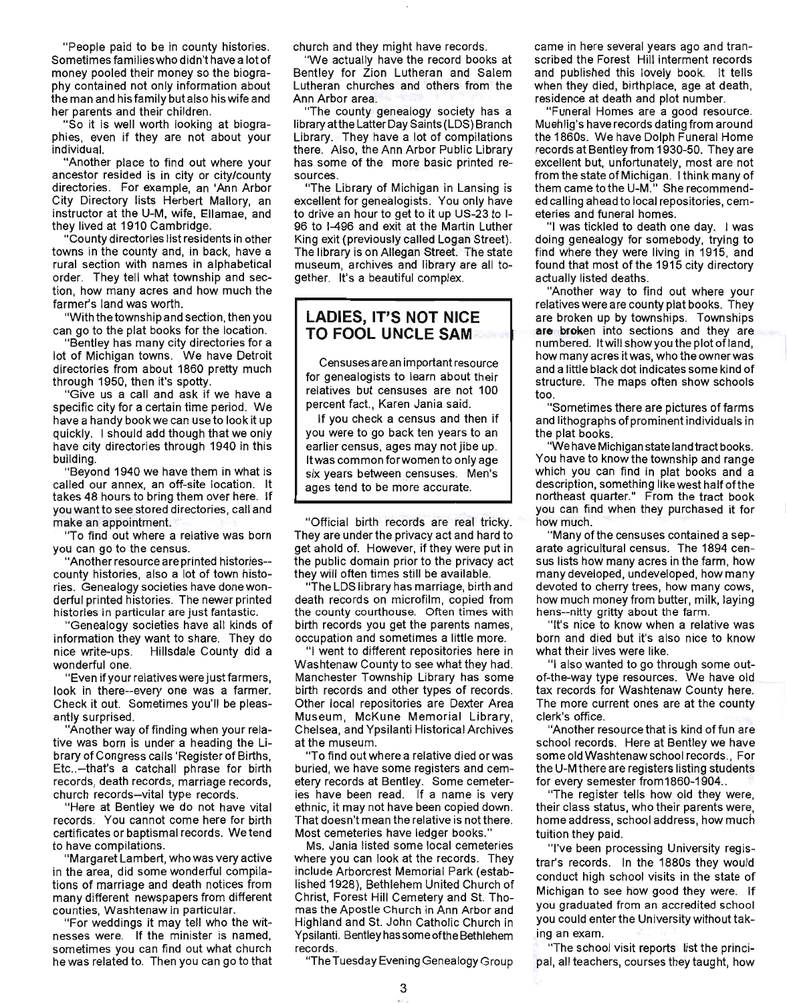"People paid to be in county histories. Sometimes families who didn't have a lot of money pooled their money so the biography contained not only information about the man and his family but also his wife and her parents and their children.

"So it is well worth looking at biographies, even if they are not about your individual.

"Another place to find out where your ancestor resided is in city or city/county directories. For example, an 'Ann Arbor City Directory lists Herbert Mallory, an instructor at the U-M, wife, Ellamae, and they lived at 1910 Cambridge.

"County directories list residents in other towns in the county and, in back, have a rural section with names in alphabetical order. They tell what township and section, how many acres and how much the farmer's land was worth.

"With the township and section, then you can go to the plat books for the location.

"Bentley has many city directories for a lot of Michigan towns. We have Detroit directories from about 1860 pretty much through 1950, then it's spotty.

"Give us a call and ask if we have a specific city for a certain time period. We have a handy book we can use to look it up quickly. I should add though that we only have city directories through 1940 in this building.

"Beyond 1940 we have them in what is called our annex, an off-site location. It takes 48 hours to bring them over here. If you want to see stored directories, call and make an appointment.

"To find out where a relative was born you can go to the census.

"Another resource are printed histories- county histories, also a lot of town histories. Genealogy societies have done wonderful printed histories. The newer printed histories in particular are just fantastic.

"Genealogy societies have all kinds of information they want to share. They do nice write-ups. Hillsdale County did a wonderful one.

"Even if your relatives were just farmers, look in there--every one was a farmer. Check it out. Sometimes you'll be pleasantly surprised.

"Another way of finding when your relative was born is under a heading the Library of Congress calls 'Register of Births, Etc..-that's a catchall phrase for birth records, death records, marriage records, church records-vital type records.

"Here at Bentley we do not have vital records. You cannot come here for birth certificates or baptismal records. We tend to have compilations.

"Margaret Lambert, who was very active in the area, did some wonderful compilations of marriage and death notices from many different newspapers from different counties, Washtenaw in particular.

"For weddings it may tell who the witnesses were. If the minister is named, sometimes you can find out what church he was related to. Then you can go to that church and they might have records.

"We actually have the record books at Bentley for Zion Lutheran and Salem Lutheran churches and others from the Ann Arbor area.

"The county genealogy society has a library atthe Latter Day Saints (LOS) Branch Library. They have a lot of compilations there. Also, the Ann Arbor Public Library has some of the more basic printed resources.

"The Library of Michigan in Lansing is excellent for genealogists. You only have to drive an hour to get to it up US-23 to 1- 96 to 1-496 and exit at the Martin Luther King exit (previously called Logan Street). The library is on Allegan Street. The state museum, archives and library are all together. It's a beautiful complex.

#### **LADIES, IT'S NOT NICE TO FOOL UNCLE SAM**

Censuses are an important resource for genealogists to learn about their relatives but censuses are not 100 percent fact. , Karen Jania said.

If you check a census and then if you were to go back ten years to an earlier census, ages may not jibe up. It was common forwomen to only age six years between censuses. Men's ages tend to be more accurate.

"Official birth records are real tricky. They are under the privacy act and hard to get ahold of. However, if they were put in the public domain prior to the privacy act they will often times still be available.

"The LOS library has marriage, birth and death records on microfilm, copied from the county courthouse. Often times with birth records you get the parents names, occupation and sometimes a little more.

"I went to different repositories here in Washtenaw County to see what they had. Manchester Township Library has some birth records and other types of records. Other local repositories are Dexter Area Museum, McKune Memorial Library, Chelsea, and Ypsilanti Historical Archives at the museum.

"To find out where a relative died or was buried, we have some registers and cemetery records at Bentley. Some cemeteries have been read. If a name is very ethnic, it may not have been copied down. That doesn't mean the relative is not there. Most cemeteries have ledger books."

Ms. Jania listed some local cemeteries where you can look at the records. They include Arborcrest Memorial Park (established 1928), Bethlehem United Church of Christ, Forest Hill Cemetery and st. Thomas the Apostle Church in Ann Arbor and Highland and St. John Catholic Church in Ypsilanti. Bentley has some ofthe Bethlehem records.

"The Tuesday Evening Genealogy Group

came in here several years ago and transcribed the Forest Hill interment records and published this lovely book. It tells when they died, birthplace, age at death, residence at death and plot number.

"Funeral Homes are a good resource. Muehlig's have records dating from around the 1860s. We have Dolph Funeral Home records at Bentley from 1930-50. They are excellent but, unfortunately, most are not from the state of Michigan. I think many of them came to the U-M." She recommended calling ahead to local repositories, cemeteries and funeral homes.

"I was tickled to death one day. I was doing genealogy for somebody, trying to find where they were living in 1915, and found that most of the 1915 city directory actually listed deaths.

"Another way to find out where your relatives were are county plat books. They are broken up by townships. Townships are broken into sections and they are numbered. It will showyou the plot of land, how many acres it was, who the owner was and a little black dot indicates some kind of structure. The maps often show schools too.

"Sometimes there are pictures of farms and lithographs of prominent individuals in the plat books.

"We have Michigan state land tract books. You have to know the township and range which you can find in plat books and a description, something like west half ofthe northeast quarter." From the tract book you can find when they purchased it for how much.

"Many of the censuses contained a separate agricultural census. The 1894 census lists how many acres in the farm, how many developed, undeveloped, how many devoted to cherry trees, how many cows, how much money from butter, milk, laying hens--nitty gritty about the farm .

"It's nice to know when a relative was born and died but it's also nice to know what their lives were like.

"I also wanted to go through some outof-the-way type resources. We have old tax records for Washtenaw County here. The more current ones are at the county clerk's office.

"Another resource that is kind of fun are school records. Here at Bentley we have some old Washtenaw school records. , For the U-M there are registers listing students for every semester from1860-1904..

"The register tells how old they were, their class status, who their parents were, home address, school address, how much tuition they paid.

"I've been processing University registrar's records. In the 1880s they would conduct high school visits in the state of Michigan to see how good they were. If you graduated from an accredited school you could enter the University without taking an exam.

"The school visit reports list the principal, all teachers, courses they taught, how